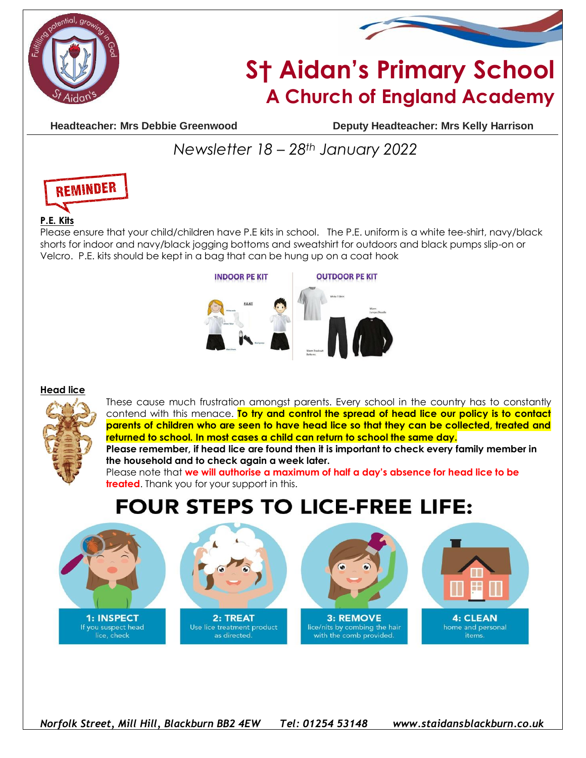



# **S† Aidan's Primary School A Church of England Academy**

**Headteacher: Mrs Debbie Greenwood Deputy Headteacher: Mrs Kelly Harrison**

### *Newsletter 18 – 28th January 2022*



#### **P.E. Kits**

Please ensure that your child/children have P.E kits in school. The P.E. uniform is a white tee-shirt, navy/black shorts for indoor and navy/black jogging bottoms and sweatshirt for outdoors and black pumps slip-on or Velcro. P.E. kits should be kept in a bag that can be hung up on a coat hook



#### **Head lice**



These cause much frustration amongst parents. Every school in the country has to constantly contend with this menace. **To try and control the spread of head lice our policy is to contact parents of children who are seen to have head lice so that they can be collected, treated and returned to school. In most cases a child can return to school the same day.**

**Please remember, if head lice are found then it is important to check every family member in the household and to check again a week later.**

Please note that **we will authorise a maximum of half a day's absence for head lice to be treated**. Thank you for your support in this.

## **FOUR STEPS TO LICE-FREE LIFE:**



If you suspect head lice, check



Use lice treatment product as directed.



3: REMOVE lice/nits by combing the hair with the comb provided.



items.

*Norfolk Street, Mill Hill, Blackburn BB2 4EW Tel: 01254 53148 www.staidansblackburn.co.uk*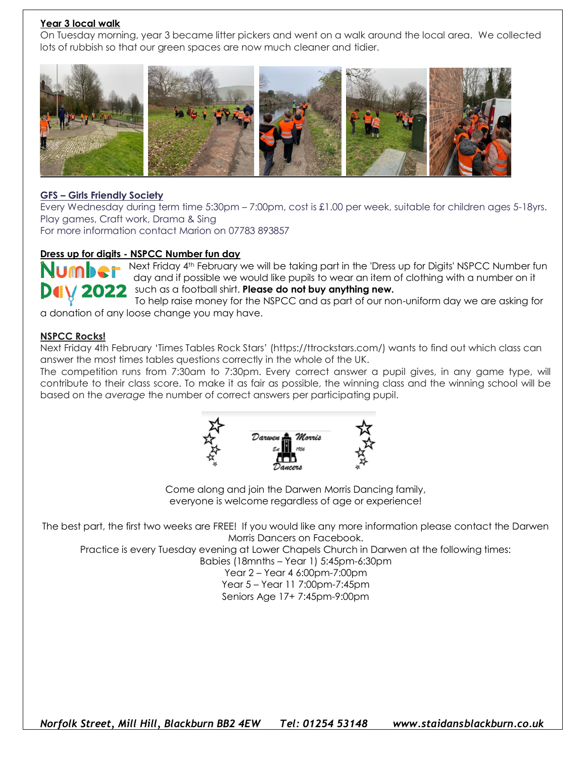#### **Year 3 local walk**

On Tuesday morning, year 3 became litter pickers and went on a walk around the local area. We collected lots of rubbish so that our green spaces are now much cleaner and tidier.



#### **GFS – Girls Friendly Society**

Every Wednesday during term time 5:30pm – 7:00pm, cost is £1.00 per week, suitable for children ages 5-18yrs. Play games, Craft work, Drama & Sing

For more information contact Marion on 07783 893857

#### **Dress up for digits - NSPCC Number fun day**

Rext Friday 4<sup>th</sup> February we will be taking part in the 'Dress up for Digits' NSPCC Number fun day and if possible we would like pupils to wear an item of clothing with a number on it such as a football shirt. **Please do not buy anything new.**

To help raise money for the NSPCC and as part of our non-uniform day we are asking for a donation of any loose change you may have.

#### **NSPCC Rocks!**

Next Friday 4th February 'Times Tables Rock Stars' (https://ttrockstars.com/) wants to find out which class can answer the most times tables questions correctly in the whole of the UK.

The competition runs from 7:30am to 7:30pm. Every correct answer a pupil gives, in any game type, will contribute to their class score. To make it as fair as possible, the winning class and the winning school will be based on the *average* the number of correct answers per participating pupil.



Come along and join the Darwen Morris Dancing family, everyone is welcome regardless of age or experience!

The best part, the first two weeks are FREE! If you would like any more information please contact the Darwen Morris Dancers on Facebook.

Practice is every Tuesday evening at Lower Chapels Church in Darwen at the following times:

Babies (18mnths – Year 1) 5:45pm-6:30pm

Year 2 – Year 4 6:00pm-7:00pm Year 5 – Year 11 7:00pm-7:45pm Seniors Age 17+ 7:45pm-9:00pm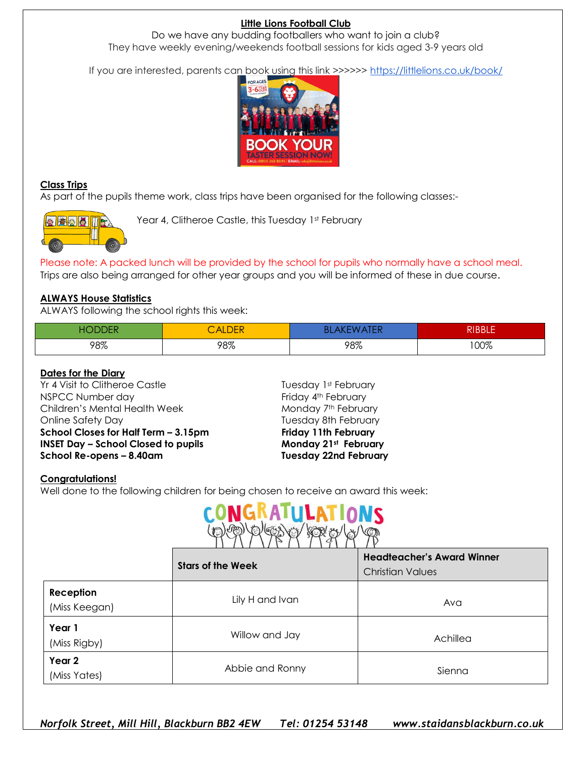#### **Little Lions Football Club**

Do we have any budding footballers who want to join a club? They have weekly evening/weekends football sessions for kids aged 3-9 years old

If you are interested, parents can book using this link >>>>>> <https://littlelions.co.uk/book/>



#### **Class Trips**

As part of the pupils theme work, class trips have been organised for the following classes:-



Year 4, Clitheroe Castle, this Tuesday 1st February

Please note: A packed lunch will be provided by the school for pupils who normally have a school meal.

Trips are also being arranged for other year groups and you will be informed of these in due course.

#### **ALWAYS House Statistics**

ALWAYS following the school rights this week:

| HО<br>DDER<br>л | CALDER | BL<br>ъ<br>737<br>. . | <b>RIBBLE</b> |
|-----------------|--------|-----------------------|---------------|
| 98%             | 98%    | 98%                   | 00%           |

#### **Dates for the Diary**

Yr 4 Visit to Clitheroe Castle Tuesday 1st February NSPCC Number day extending the Second Second Friday 4th February Children's Mental Health Week Monday 7th February Online Safety Day **Tuesday 8th February School Closes for Half Term – 3.15pm Friday 11th February INSET Day – School Closed to pupils Monday 21st February School Re-opens – 8.40am Tuesday 22nd February**

#### **Congratulations!**

Well done to the following children for being chosen to receive an award this week:



|                            | <b>Stars of the Week</b> | <b>Headteacher's Award Winner</b><br><b>Christian Values</b> |
|----------------------------|--------------------------|--------------------------------------------------------------|
| Reception<br>(Miss Keegan) | Lily H and Ivan          | Ava                                                          |
| Year 1<br>(Miss Rigby)     | Willow and Jay           | Achillea                                                     |
| Year 2<br>(Miss Yates)     | Abbie and Ronny          | Sienna                                                       |

*Norfolk Street, Mill Hill, Blackburn BB2 4EW Tel: 01254 53148 www.staidansblackburn.co.uk*